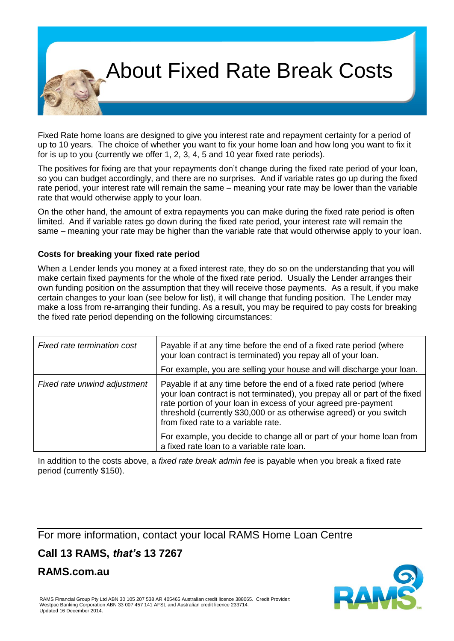## About Fixed Rate Break Costs

Fixed Rate home loans are designed to give you interest rate and repayment certainty for a period of up to 10 years. The choice of whether you want to fix your home loan and how long you want to fix it for is up to you (currently we offer 1, 2, 3, 4, 5 and 10 year fixed rate periods).

The positives for fixing are that your repayments don't change during the fixed rate period of your loan, so you can budget accordingly, and there are no surprises. And if variable rates go up during the fixed rate period, your interest rate will remain the same – meaning your rate may be lower than the variable rate that would otherwise apply to your loan.

On the other hand, the amount of extra repayments you can make during the fixed rate period is often limited. And if variable rates go down during the fixed rate period, your interest rate will remain the same – meaning your rate may be higher than the variable rate that would otherwise apply to your loan.

### **Costs for breaking your fixed rate period**

When a Lender lends you money at a fixed interest rate, they do so on the understanding that you will make certain fixed payments for the whole of the fixed rate period. Usually the Lender arranges their own funding position on the assumption that they will receive those payments. As a result, if you make certain changes to your loan (see below for list), it will change that funding position. The Lender may make a loss from re-arranging their funding. As a result, you may be required to pay costs for breaking the fixed rate period depending on the following circumstances:

| Fixed rate termination cost  | Payable if at any time before the end of a fixed rate period (where<br>your loan contract is terminated) you repay all of your loan.<br>For example, you are selling your house and will discharge your loan.                                                                                                                     |  |  |
|------------------------------|-----------------------------------------------------------------------------------------------------------------------------------------------------------------------------------------------------------------------------------------------------------------------------------------------------------------------------------|--|--|
| Fixed rate unwind adjustment | Payable if at any time before the end of a fixed rate period (where<br>your loan contract is not terminated), you prepay all or part of the fixed<br>rate portion of your loan in excess of your agreed pre-payment<br>threshold (currently \$30,000 or as otherwise agreed) or you switch<br>from fixed rate to a variable rate. |  |  |
|                              | For example, you decide to change all or part of your home loan from<br>a fixed rate loan to a variable rate loan.                                                                                                                                                                                                                |  |  |

In addition to the costs above, a *fixed rate break admin fee* is payable when you break a fixed rate period (currently \$150).

For more information, contact your local RAMS Home Loan Centre

## **Call 13 RAMS,** *that's* **13 7267**

**RAMS.com.au**

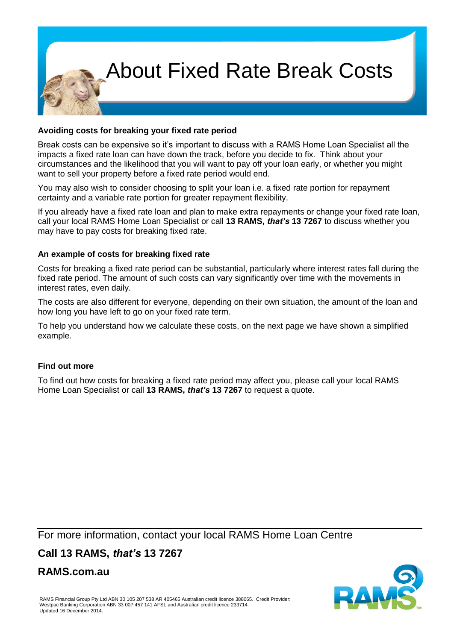# About Fixed Rate Break Costs

### **Avoiding costs for breaking your fixed rate period**

Break costs can be expensive so it's important to discuss with a RAMS Home Loan Specialist all the impacts a fixed rate loan can have down the track, before you decide to fix. Think about your circumstances and the likelihood that you will want to pay off your loan early, or whether you might want to sell your property before a fixed rate period would end.

You may also wish to consider choosing to split your loan i.e. a fixed rate portion for repayment certainty and a variable rate portion for greater repayment flexibility.

If you already have a fixed rate loan and plan to make extra repayments or change your fixed rate loan, call your local RAMS Home Loan Specialist or call **13 RAMS,** *that's* **13 7267** to discuss whether you may have to pay costs for breaking fixed rate.

#### **An example of costs for breaking fixed rate**

Costs for breaking a fixed rate period can be substantial, particularly where interest rates fall during the fixed rate period. The amount of such costs can vary significantly over time with the movements in interest rates, even daily.

The costs are also different for everyone, depending on their own situation, the amount of the loan and how long you have left to go on your fixed rate term.

To help you understand how we calculate these costs, on the next page we have shown a simplified example.

#### **Find out more**

To find out how costs for breaking a fixed rate period may affect you, please call your local RAMS Home Loan Specialist or call **13 RAMS,** *that's* **13 7267** to request a quote.

For more information, contact your local RAMS Home Loan Centre

## **Call 13 RAMS,** *that's* **13 7267**